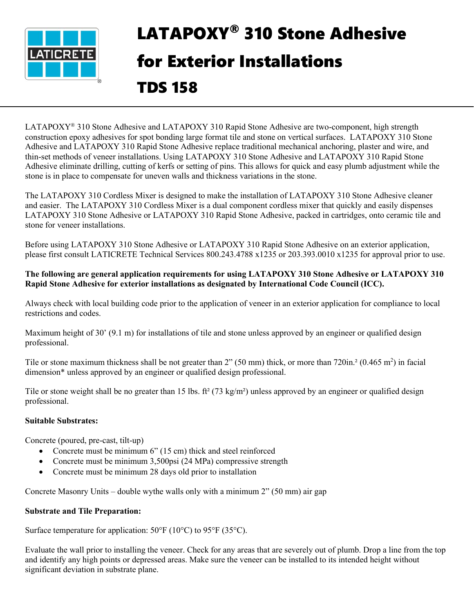

# LATAPOXY® 310 Stone Adhesive for Exterior Installations TDS 158

LATAPOXY® 310 Stone Adhesive and LATAPOXY 310 Rapid Stone Adhesive are two-component, high strength construction epoxy adhesives for spot bonding large format tile and stone on vertical surfaces. LATAPOXY 310 Stone Adhesive and LATAPOXY 310 Rapid Stone Adhesive replace traditional mechanical anchoring, plaster and wire, and thin-set methods of veneer installations. Using LATAPOXY 310 Stone Adhesive and LATAPOXY 310 Rapid Stone Adhesive eliminate drilling, cutting of kerfs or setting of pins. This allows for quick and easy plumb adjustment while the stone is in place to compensate for uneven walls and thickness variations in the stone.

The LATAPOXY 310 Cordless Mixer is designed to make the installation of LATAPOXY 310 Stone Adhesive cleaner and easier. The LATAPOXY 310 Cordless Mixer is a dual component cordless mixer that quickly and easily dispenses LATAPOXY 310 Stone Adhesive or LATAPOXY 310 Rapid Stone Adhesive, packed in cartridges, onto ceramic tile and stone for veneer installations.

Before using LATAPOXY 310 Stone Adhesive or LATAPOXY 310 Rapid Stone Adhesive on an exterior application, please first consult LATICRETE Technical Services 800.243.4788 x1235 or 203.393.0010 x1235 for approval prior to use.

### **The following are general application requirements for using LATAPOXY 310 Stone Adhesive or LATAPOXY 310 Rapid Stone Adhesive for exterior installations as designated by International Code Council (ICC).**

Always check with local building code prior to the application of veneer in an exterior application for compliance to local restrictions and codes.

Maximum height of 30' (9.1 m) for installations of tile and stone unless approved by an engineer or qualified design professional.

Tile or stone maximum thickness shall be not greater than  $2$ " (50 mm) thick, or more than 720in.<sup>2</sup> (0.465 m<sup>2</sup>) in facial dimension\* unless approved by an engineer or qualified design professional.

Tile or stone weight shall be no greater than 15 lbs.  $ft^2$  (73 kg/m<sup>2</sup>) unless approved by an engineer or qualified design professional.

## **Suitable Substrates:**

Concrete (poured, pre-cast, tilt-up)

- Concrete must be minimum 6" (15 cm) thick and steel reinforced
- Concrete must be minimum 3,500psi (24 MPa) compressive strength
- Concrete must be minimum 28 days old prior to installation

Concrete Masonry Units – double wythe walls only with a minimum  $2$ <sup>"</sup> (50 mm) air gap

## **Substrate and Tile Preparation:**

Surface temperature for application:  $50^{\circ}F (10^{\circ}C)$  to  $95^{\circ}F (35^{\circ}C)$ .

Evaluate the wall prior to installing the veneer. Check for any areas that are severely out of plumb. Drop a line from the top and identify any high points or depressed areas. Make sure the veneer can be installed to its intended height without significant deviation in substrate plane.